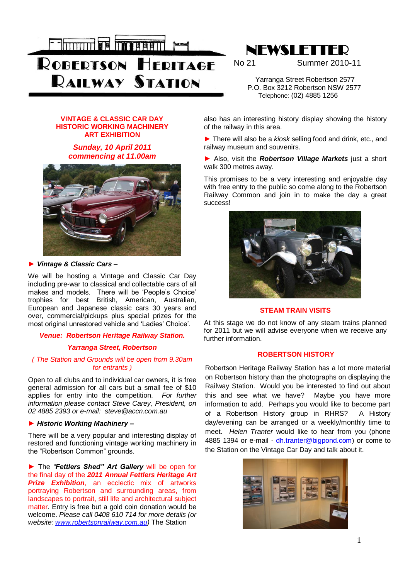



No 21 Summer 2010-11

 Yarranga Street Robertson 2577 P.O. Box 3212 Robertson NSW 2577 Telephone: (02) 4885 1256

#### **VINTAGE & CLASSIC CAR DAY HISTORIC WORKING MACHINERY ART EXHIBITION**

# *Sunday, 10 April 2011 commencing at 11.00am*



#### *► Vintage & Classic Cars –*

We will be hosting a Vintage and Classic Car Day including pre-war to classical and collectable cars of all makes and models. There will be 'People's Choice' trophies for best British, American, Australian, European and Japanese classic cars 30 years and over, commercial/pickups plus special prizes for the most original unrestored vehicle and 'Ladies' Choice'.

### *Venue: Robertson Heritage Railway Station.*

### *Yarranga Street, Robertson*

#### *( The Station and Grounds will be open from 9.30am for entrants )*

Open to all clubs and to individual car owners, it is free general admission for all cars but a small fee of \$10 applies for entry into the competition. *For further information please contact Steve Carey, President, on 02 4885 2393 or e-mail: steve@accn.com.au*

### *► Historic Working Machinery –*

There will be a very popular and interesting display of restored and functioning vintage working machinery in the "Robertson Common" grounds.

*►* The *"Fettlers Shed" Art Gallery* will be open for the final day of the *2011 Annual Fettlers Heritage Art Prize Exhibition*, an ecclectic mix of artworks portraying Robertson and surrounding areas, from landscapes to portrait, still life and architectural subject matter. Entry is free but a gold coin donation would be welcome. *Please call 0408 610 714 for more details (or website: [www.robertsonrailway.com.au\)](http://www.robertsonrailway.com.au/)* The Station

also has an interesting history display showing the history of the railway in this area.

*►* There will also be a *kiosk* selling food and drink, etc., and railway museum and souvenirs.

*►* Also, visit the *Robertson Village Markets* just a short walk 300 metres away.

This promises to be a very interesting and enjoyable day with free entry to the public so come along to the Robertson Railway Common and join in to make the day a great success!



#### **STEAM TRAIN VISITS**

At this stage we do not know of any steam trains planned for 2011 but we will advise everyone when we receive any further information.

#### **ROBERTSON HISTORY**

Robertson Heritage Railway Station has a lot more material on Robertson history than the photographs on displaying the Railway Station. Would you be interested to find out about this and see what we have? Maybe you have more information to add. Perhaps you would like to become part of a Robertson History group in RHRS? A History day/evening can be arranged or a weekly/monthly time to meet. *Helen Tranter* would like to hear from you (phone 4885 1394 or e-mail - [dh.tranter@bigpond.com\)](mailto:dh.tranter@bigpond.com) or come to the Station on the Vintage Car Day and talk about it.